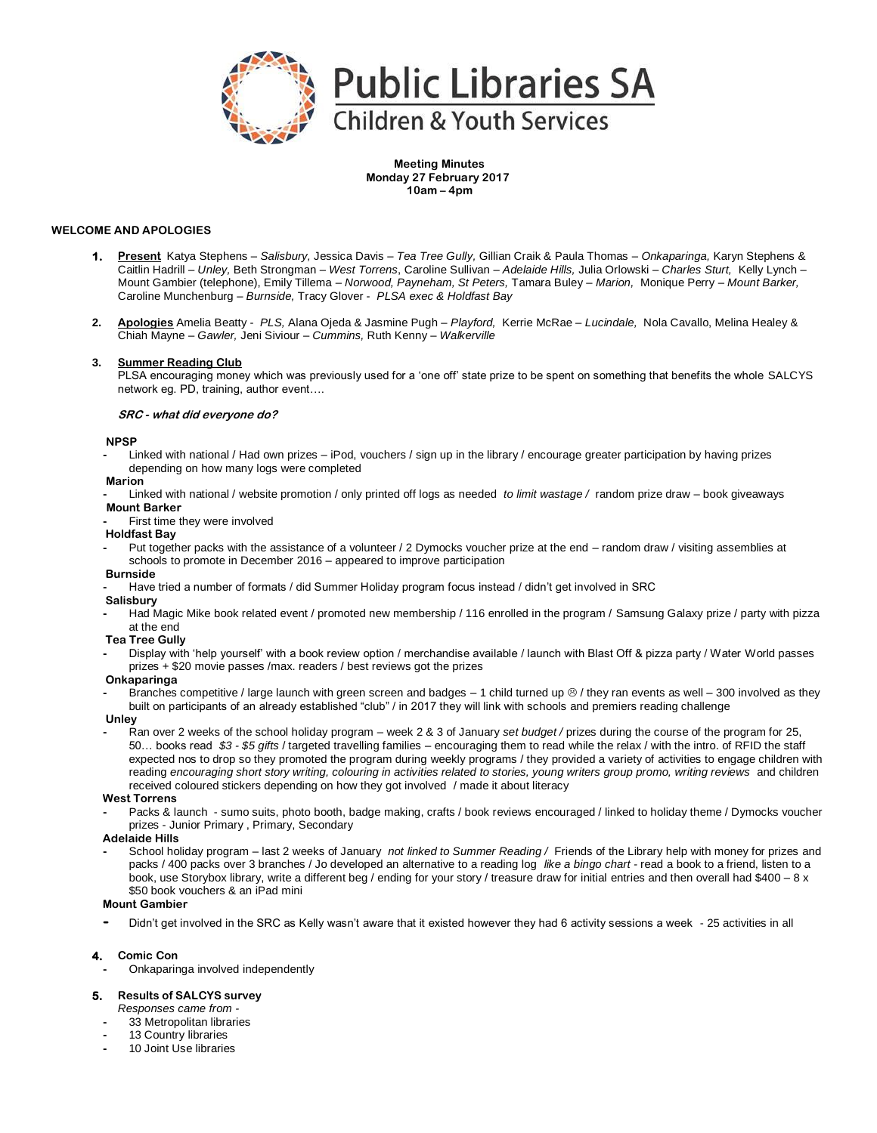

**Meeting Minutes Monday 27 February 2017 10am – 4pm**

# **WELCOME AND APOLOGIES**

- **1. Present** Katya Stephens *Salisbury,* Jessica Davis *Tea Tree Gully,* Gillian Craik & Paula Thomas *Onkaparinga,* Karyn Stephens & Caitlin Hadrill – *Unley,* Beth Strongman *– West Torrens*, Caroline Sullivan – *Adelaide Hills,* Julia Orlowski – *Charles Sturt,* Kelly Lynch – Mount Gambier (telephone), Emily Tillema – *Norwood, Payneham, St Peters,* Tamara Buley – *Marion,* Monique Perry – *Mount Barker,*  Caroline Munchenburg – *Burnside,* Tracy Glover - *PLSA exec & Holdfast Bay*
- **2. Apologies** Amelia Beatty *PLS,* Alana Ojeda & Jasmine Pugh *Playford,* Kerrie McRae *Lucindale,* Nola Cavallo, Melina Healey & Chiah Mayne – *Gawler,* Jeni Siviour – *Cummins,* Ruth Kenny – *Walkerville*

### **3. Summer Reading Club**

PLSA encouraging money which was previously used for a 'one off' state prize to be spent on something that benefits the whole SALCYS network eg. PD, training, author event….

#### **SRC - what did everyone do?**

### **NPSP**

**-** Linked with national / Had own prizes – iPod, vouchers / sign up in the library / encourage greater participation by having prizes depending on how many logs were completed

# **Marion**

**-** Linked with national / website promotion / only printed off logs as needed *to limit wastage /* random prize draw – book giveaways **Mount Barker**

#### **-** First time they were involved

- **Holdfast Bay**
- **-** Put together packs with the assistance of a volunteer / 2 Dymocks voucher prize at the end random draw / visiting assemblies at schools to promote in December 2016 – appeared to improve participation

# **Burnside**

**-** Have tried a number of formats / did Summer Holiday program focus instead / didn't get involved in SRC

### **Salisbury**

- **-** Had Magic Mike book related event / promoted new membership / 116 enrolled in the program / Samsung Galaxy prize / party with pizza at the end
- **Tea Tree Gully**
- **-** Display with 'help yourself' with a book review option / merchandise available / launch with Blast Off & pizza party / Water World passes prizes + \$20 movie passes /max. readers / best reviews got the prizes

#### **Onkaparinga**

Branches competitive / large launch with green screen and badges – 1 child turned up  $\otimes$  / they ran events as well – 300 involved as they built on participants of an already established "club" / in 2017 they will link with schools and premiers reading challenge

# **Unley**

**-** Ran over 2 weeks of the school holiday program – week 2 & 3 of January *set budget /* prizes during the course of the program for 25, 50… books read *\$3 - \$5 gifts* / targeted travelling families – encouraging them to read while the relax / with the intro. of RFID the staff expected nos to drop so they promoted the program during weekly programs / they provided a variety of activities to engage children with reading encouraging short story writing, colouring in activities related to stories, young writers group promo, writing reviews and children received coloured stickers depending on how they got involved / made it about literacy

#### **West Torrens**

**-** Packs & launch - sumo suits, photo booth, badge making, crafts / book reviews encouraged / linked to holiday theme / Dymocks voucher prizes - Junior Primary , Primary, Secondary

#### **Adelaide Hills**

**-** School holiday program – last 2 weeks of January *not linked to Summer Reading /* Friends of the Library help with money for prizes and packs / 400 packs over 3 branches / Jo developed an alternative to a reading log *like a bingo chart -* read a book to a friend, listen to a book, use Storybox library, write a different beg / ending for your story / treasure draw for initial entries and then overall had \$400 - 8 x \$50 book vouchers & an iPad mini

#### **Mount Gambier**

**-** Didn't get involved in the SRC as Kelly wasn't aware that it existed however they had 6 activity sessions a week - 25 activities in all

# **4. Comic Con**

**-** Onkaparinga involved independently

# **5. Results of SALCYS survey**

- *Responses came from -*
- **-** 33 Metropolitan libraries
- **-** 13 Country libraries
- **-** 10 Joint Use libraries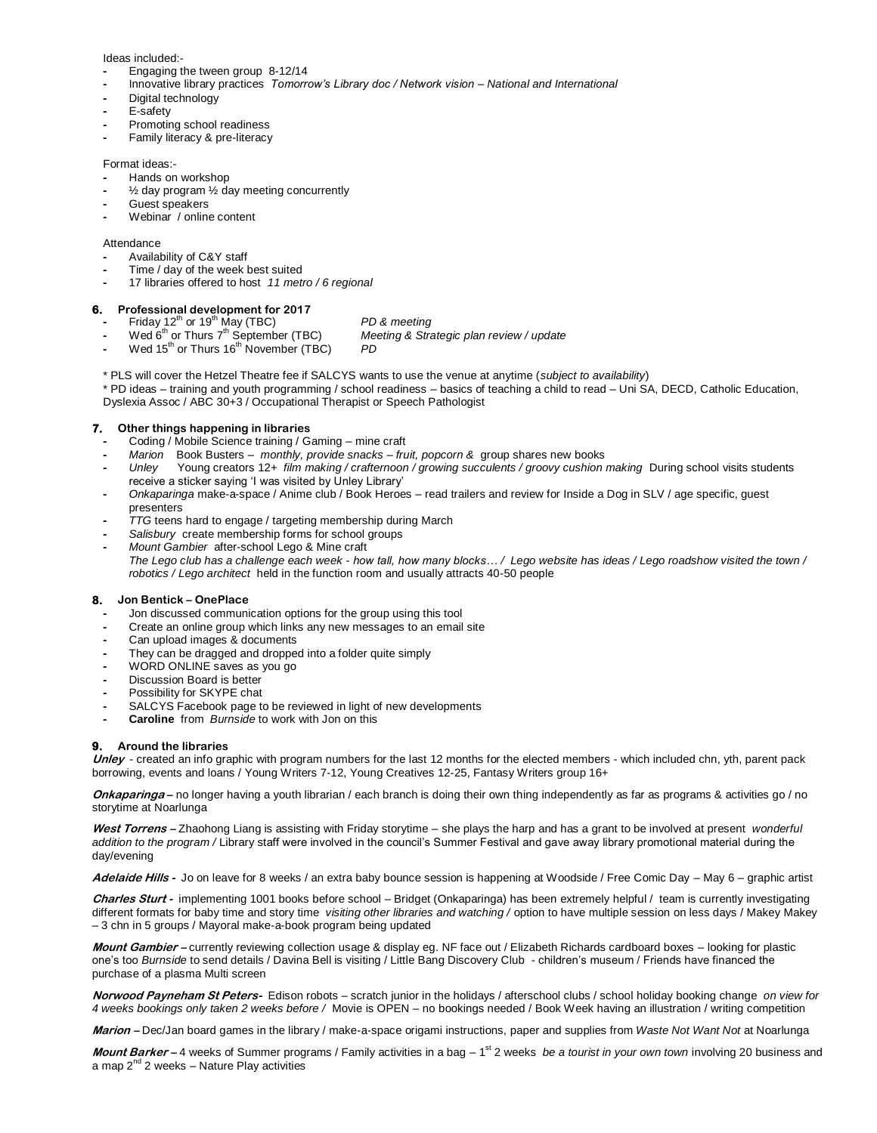Ideas included:-

- **-** Engaging the tween group 8-12/14
- **-** Innovative library practices *Tomorrow's Library doc / Network vision – National and International*
- **-** Digital technology
- **-** E-safety
- **-** Promoting school readiness
- **-** Family literacy & pre-literacy

# Format ideas:-

- **-** Hands on workshop
- **-** ½ day program ½ day meeting concurrently
- **-** Guest speakers
- **-** Webinar / online content

#### **Attendance**

- **-** Availability of C&Y staff
- **-** Time / day of the week best suited
- **-** 17 libraries offered to host *11 metro / 6 regional*

#### **6. Professional development for 2017**

- 
- 
- **Friday 12<sup>th</sup> or 19<sup>th</sup> May (TBC)** *PD & meeting*<br>
Wed 6<sup>th</sup> or Thurs 7<sup>th</sup> September (TBC) *Meeting & Stra* **Meeting & Strategic plan review / update**
- Wed 15<sup>th</sup> or Thurs 16<sup>th</sup> November (TBC) *PD*
- \* PLS will cover the Hetzel Theatre fee if SALCYS wants to use the venue at anytime (*subject to availability*)
- \* PD ideas training and youth programming / school readiness basics of teaching a child to read Uni SA, DECD, Catholic Education, Dyslexia Assoc / ABC 30+3 / Occupational Therapist or Speech Pathologist

### **7. Other things happening in libraries**

- **-** Coding / Mobile Science training / Gaming mine craft
- **-** *Marion* Book Busters *monthly, provide snacks – fruit, popcorn &* group shares new books
- **-** *Unley* Young creators 12+ *film making / crafternoon / growing succulents / groovy cushion making* During school visits students receive a sticker saying 'I was visited by Unley Library'
- **-** *Onkaparinga* make-a-space / Anime club / Book Heroes read trailers and review for Inside a Dog in SLV / age specific, guest presenters
- **-** *TTG* teens hard to engage / targeting membership during March
- **-** *Salisbury* create membership forms for school groups
- **-** *Mount Gambier* after-school Lego & Mine craft *The Lego club has a challenge each week - how tall, how many blocks… / Lego website has ideas / Lego roadshow visited the town / robotics / Lego architect* held in the function room and usually attracts 40-50 people

# **8. Jon Bentick – OnePlace**

- **-** Jon discussed communication options for the group using this tool
- **-** Create an online group which links any new messages to an email site
- **-** Can upload images & documents
- **-** They can be dragged and dropped into a folder quite simply
- **-** WORD ONLINE saves as you go
- **-** Discussion Board is better
- **-** Possibility for SKYPE chat
- **-** SALCYS Facebook page to be reviewed in light of new developments
- **- Caroline** from *Burnside* to work with Jon on this

#### **9. Around the libraries**

**Unley** - created an info graphic with program numbers for the last 12 months for the elected members - which included chn, yth, parent pack borrowing, events and loans / Young Writers 7-12, Young Creatives 12-25, Fantasy Writers group 16+

**Onkaparinga –** no longer having a youth librarian / each branch is doing their own thing independently as far as programs & activities go / no storytime at Noarlunga

**West Torrens –** Zhaohong Liang is assisting with Friday storytime – she plays the harp and has a grant to be involved at present *wonderful addition to the program /* Library staff were involved in the council's Summer Festival and gave away library promotional material during the day/evening

**Adelaide Hills -** Jo on leave for 8 weeks / an extra baby bounce session is happening at Woodside / Free Comic Day – May 6 – graphic artist

**Charles Sturt -** implementing 1001 books before school – Bridget (Onkaparinga) has been extremely helpful / team is currently investigating different formats for baby time and story time *visiting other libraries and watching /* option to have multiple session on less days / Makey Makey – 3 chn in 5 groups / Mayoral make-a-book program being updated

**Mount Gambier –** currently reviewing collection usage & display eg. NF face out / Elizabeth Richards cardboard boxes – looking for plastic one's too *Burnside* to send details / Davina Bell is visiting / Little Bang Discovery Club - children's museum / Friends have financed the purchase of a plasma Multi screen

**Norwood Payneham St Peters-** Edison robots – scratch junior in the holidays / afterschool clubs / school holiday booking change *on view for 4 weeks bookings only taken 2 weeks before /* Movie is OPEN – no bookings needed / Book Week having an illustration / writing competition

**Marion –** Dec/Jan board games in the library / make-a-space origami instructions, paper and supplies from *Waste Not Want Not* at Noarlunga

**Mount Barker –** 4 weeks of Summer programs / Family activities in a bag – 1 st 2 weeks *be a tourist in your own town* involving 20 business and a map  $2^{nd}$  2 weeks – Nature Play activities